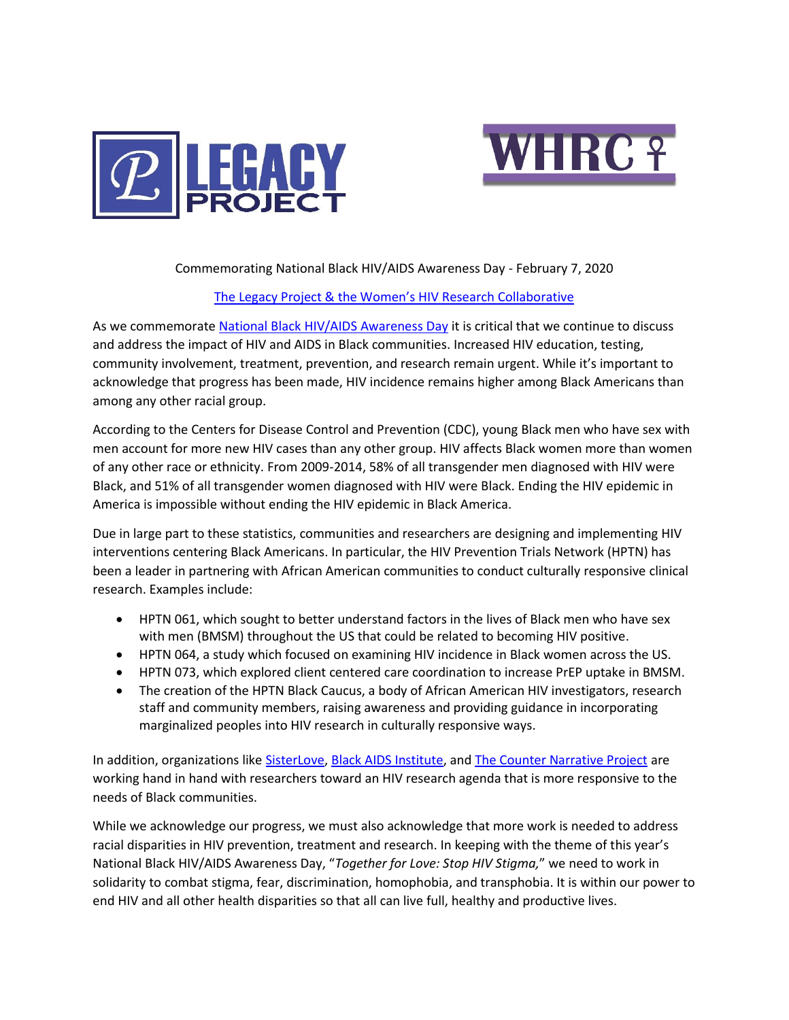



## Commemorating National Black HIV/AIDS Awareness Day - February 7, 2020

## [The Legacy Project & the Women's HIV Research Collaborative](mailto:https://www.facebook.com/HANCLegacyProject/)

As we commemorate [National Black HIV/AIDS Awareness Day](https://www.hiv.gov/events/awareness-days/black) it is critical that we continue to discuss and address the impact of HIV and AIDS in Black communities. Increased HIV education, testing, community involvement, treatment, prevention, and research remain urgent. While it's important to acknowledge that progress has been made, HIV incidence remains higher among Black Americans than among any other racial group.

According to the Centers for Disease Control and Prevention (CDC), young Black men who have sex with men account for more new HIV cases than any other group. HIV affects Black women more than women of any other race or ethnicity. From 2009-2014, 58% of all transgender men diagnosed with HIV were Black, and 51% of all transgender women diagnosed with HIV were Black. Ending the HIV epidemic in America is impossible without ending the HIV epidemic in Black America.

Due in large part to these statistics, communities and researchers are designing and implementing HIV interventions centering Black Americans. In particular, the HIV Prevention Trials Network (HPTN) has been a leader in partnering with African American communities to conduct culturally responsive clinical research. Examples include:

- HPTN 061, which sought to better understand factors in the lives of Black men who have sex with men (BMSM) throughout the US that could be related to becoming HIV positive.
- HPTN 064, a study which focused on examining HIV incidence in Black women across the US.
- HPTN 073, which explored client centered care coordination to increase PrEP uptake in BMSM.
- The creation of the HPTN Black Caucus, a body of African American HIV investigators, research staff and community members, raising awareness and providing guidance in incorporating marginalized peoples into HIV research in culturally responsive ways.

In addition, organizations like [SisterLove,](mailto:https://www.sisterlove.org/) [Black AIDS Institute,](mailto:https://blackaids.org/) an[d The Counter Narrative Project](mailto:https://www.thecounternarrative.org/) are working hand in hand with researchers toward an HIV research agenda that is more responsive to the needs of Black communities.

While we acknowledge our progress, we must also acknowledge that more work is needed to address racial disparities in HIV prevention, treatment and research. In keeping with the theme of this year's National Black HIV/AIDS Awareness Day, "*Together for Love: Stop HIV Stigma,*" we need to work in solidarity to combat stigma, fear, discrimination, homophobia, and transphobia. It is within our power to end HIV and all other health disparities so that all can live full, healthy and productive lives.